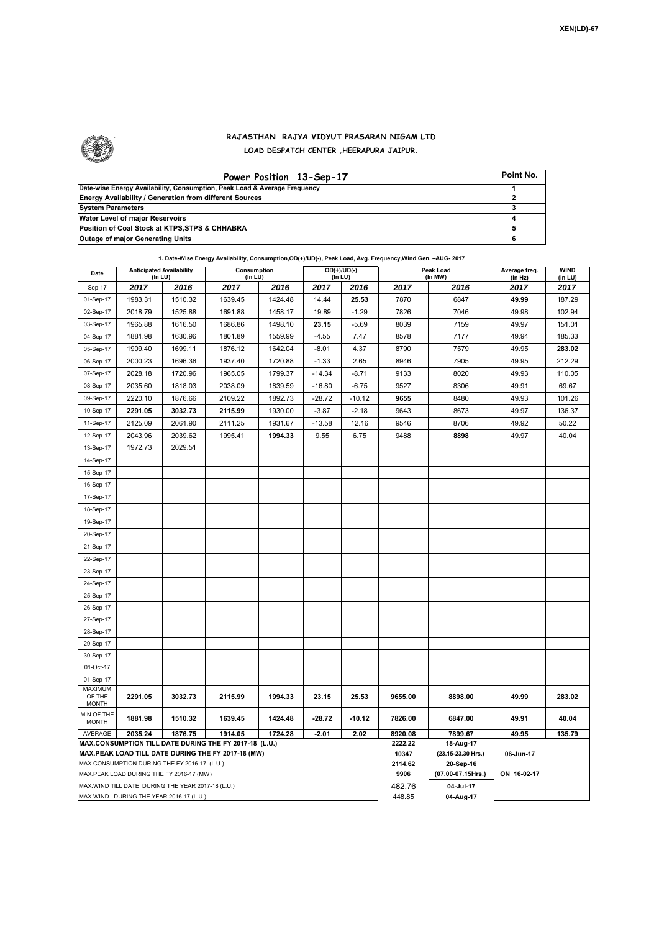

## **RAJASTHAN RAJYA VIDYUT PRASARAN NIGAM LTD LOAD DESPATCH CENTER ,HEERAPURA JAIPUR.**

| Power Position 13-Sep-17                                                  | Point No. |
|---------------------------------------------------------------------------|-----------|
| Date-wise Energy Availability, Consumption, Peak Load & Average Frequency |           |
| <b>Energy Availability / Generation from different Sources</b>            |           |
| <b>System Parameters</b>                                                  |           |
| Water Level of major Reservoirs                                           |           |
| Position of Coal Stock at KTPS, STPS & CHHABRA                            |           |
| <b>Outage of major Generating Units</b>                                   |           |

| 1. Date-Wise Energy Availability, Consumption, OD(+)/UD(-), Peak Load, Avg. Frequency, Wind Gen. - AUG- 2017                                                                                             |                                                                      |         |         |                          |          |                  |                             |                                              |                        |        |  |  |
|----------------------------------------------------------------------------------------------------------------------------------------------------------------------------------------------------------|----------------------------------------------------------------------|---------|---------|--------------------------|----------|------------------|-----------------------------|----------------------------------------------|------------------------|--------|--|--|
| Date                                                                                                                                                                                                     | <b>Anticipated Availability</b><br>Consumption<br>(In LU)<br>(In LU) |         |         | $OD(+)/UD(-)$<br>(In LU) |          |                  | <b>Peak Load</b><br>(In MW) | Average freq.<br>(In Hz)                     | <b>WIND</b><br>(in LU) |        |  |  |
| Sep-17                                                                                                                                                                                                   | 2017                                                                 | 2016    | 2017    | 2016                     | 2017     | 2016             | 2017                        | 2016                                         | 2017                   | 2017   |  |  |
| 01-Sep-17                                                                                                                                                                                                | 1983.31                                                              | 1510.32 | 1639.45 | 1424.48                  | 14.44    | 25.53            | 7870                        | 6847                                         | 49.99                  | 187.29 |  |  |
| 02-Sep-17                                                                                                                                                                                                | 2018.79                                                              | 1525.88 | 1691.88 | 1458.17                  | 19.89    | $-1.29$          | 7826                        | 7046                                         | 49.98                  | 102.94 |  |  |
| 03-Sep-17                                                                                                                                                                                                | 1965.88                                                              | 1616.50 | 1686.86 | 1498.10                  | 23.15    | $-5.69$          | 8039                        | 7159                                         | 49.97                  | 151.01 |  |  |
| 04-Sep-17                                                                                                                                                                                                | 1881.98                                                              | 1630.96 | 1801.89 | 1559.99                  | $-4.55$  | 7.47             | 8578                        | 7177                                         | 49.94                  | 185.33 |  |  |
| 05-Sep-17                                                                                                                                                                                                | 1909.40                                                              | 1699.11 | 1876.12 | 1642.04                  | $-8.01$  | 4.37             | 8790                        | 7579                                         | 49.95                  | 283.02 |  |  |
| 06-Sep-17                                                                                                                                                                                                | 2000.23                                                              | 1696.36 | 1937.40 | 1720.88                  | $-1.33$  | 2.65             | 8946                        | 7905                                         | 49.95                  | 212.29 |  |  |
| 07-Sep-17                                                                                                                                                                                                | 2028.18                                                              | 1720.96 | 1965.05 | 1799.37                  | $-14.34$ | $-8.71$          | 9133                        | 8020                                         | 49.93                  | 110.05 |  |  |
| 08-Sep-17                                                                                                                                                                                                | 2035.60                                                              | 1818.03 | 2038.09 | 1839.59                  | $-16.80$ | $-6.75$          | 9527                        | 8306                                         | 49.91                  | 69.67  |  |  |
| 09-Sep-17                                                                                                                                                                                                | 2220.10                                                              | 1876.66 | 2109.22 | 1892.73                  | $-28.72$ | $-10.12$         | 9655                        | 8480                                         | 49.93                  | 101.26 |  |  |
| 10-Sep-17                                                                                                                                                                                                | 2291.05                                                              | 3032.73 | 2115.99 | 1930.00                  | $-3.87$  | $-2.18$          | 9643                        | 8673                                         | 49.97                  | 136.37 |  |  |
| 11-Sep-17                                                                                                                                                                                                | 2125.09                                                              | 2061.90 | 2111.25 | 1931.67                  | $-13.58$ | 12.16            | 9546                        | 8706                                         | 49.92                  | 50.22  |  |  |
| 12-Sep-17                                                                                                                                                                                                | 2043.96                                                              | 2039.62 | 1995.41 | 1994.33                  | 9.55     | 6.75             | 9488                        | 8898                                         | 49.97                  | 40.04  |  |  |
| 13-Sep-17                                                                                                                                                                                                | 1972.73                                                              | 2029.51 |         |                          |          |                  |                             |                                              |                        |        |  |  |
| 14-Sep-17                                                                                                                                                                                                |                                                                      |         |         |                          |          |                  |                             |                                              |                        |        |  |  |
| 15-Sep-17                                                                                                                                                                                                |                                                                      |         |         |                          |          |                  |                             |                                              |                        |        |  |  |
| 16-Sep-17                                                                                                                                                                                                |                                                                      |         |         |                          |          |                  |                             |                                              |                        |        |  |  |
| 17-Sep-17                                                                                                                                                                                                |                                                                      |         |         |                          |          |                  |                             |                                              |                        |        |  |  |
| 18-Sep-17                                                                                                                                                                                                |                                                                      |         |         |                          |          |                  |                             |                                              |                        |        |  |  |
| 19-Sep-17                                                                                                                                                                                                |                                                                      |         |         |                          |          |                  |                             |                                              |                        |        |  |  |
| 20-Sep-17                                                                                                                                                                                                |                                                                      |         |         |                          |          |                  |                             |                                              |                        |        |  |  |
| 21-Sep-17                                                                                                                                                                                                |                                                                      |         |         |                          |          |                  |                             |                                              |                        |        |  |  |
| 22-Sep-17                                                                                                                                                                                                |                                                                      |         |         |                          |          |                  |                             |                                              |                        |        |  |  |
| 23-Sep-17                                                                                                                                                                                                |                                                                      |         |         |                          |          |                  |                             |                                              |                        |        |  |  |
| 24-Sep-17                                                                                                                                                                                                |                                                                      |         |         |                          |          |                  |                             |                                              |                        |        |  |  |
| 25-Sep-17                                                                                                                                                                                                |                                                                      |         |         |                          |          |                  |                             |                                              |                        |        |  |  |
| 26-Sep-17                                                                                                                                                                                                |                                                                      |         |         |                          |          |                  |                             |                                              |                        |        |  |  |
| 27-Sep-17                                                                                                                                                                                                |                                                                      |         |         |                          |          |                  |                             |                                              |                        |        |  |  |
| 28-Sep-17                                                                                                                                                                                                |                                                                      |         |         |                          |          |                  |                             |                                              |                        |        |  |  |
| 29-Sep-17                                                                                                                                                                                                |                                                                      |         |         |                          |          |                  |                             |                                              |                        |        |  |  |
| 30-Sep-17                                                                                                                                                                                                |                                                                      |         |         |                          |          |                  |                             |                                              |                        |        |  |  |
| 01-Oct-17                                                                                                                                                                                                |                                                                      |         |         |                          |          |                  |                             |                                              |                        |        |  |  |
| 01-Sep-17                                                                                                                                                                                                |                                                                      |         |         |                          |          |                  |                             |                                              |                        |        |  |  |
| MAXIMUM<br>OF THE<br><b>MONTH</b>                                                                                                                                                                        | 2291.05                                                              | 3032.73 | 2115.99 | 1994.33                  | 23.15    | 25.53            | 9655.00                     | 8898.00                                      | 49.99                  | 283.02 |  |  |
| MIN OF THE<br><b>MONTH</b>                                                                                                                                                                               | 1881.98                                                              | 1510.32 | 1639.45 | 1424.48                  | $-28.72$ | $-10.12$         | 7826.00                     | 6847.00                                      | 49.91                  | 40.04  |  |  |
| AVERAGE                                                                                                                                                                                                  | 2035.24                                                              | 1876.75 | 1914.05 | 1724.28                  | $-2.01$  | 2.02             | 8920.08                     | 7899.67                                      | 49.95                  | 135.79 |  |  |
| MAX.CONSUMPTION TILL DATE DURING THE FY 2017-18 (L.U.)<br>MAX.PEAK LOAD TILL DATE DURING THE FY 2017-18 (MW)<br>MAX.CONSUMPTION DURING THE FY 2016-17 (L.U.)<br>MAX.PEAK LOAD DURING THE FY 2016-17 (MW) |                                                                      |         |         |                          |          |                  | 2222.22<br>10347<br>2114.62 | 18-Aug-17<br>(23.15-23.30 Hrs.)<br>20-Sep-16 | 06-Jun-17              |        |  |  |
|                                                                                                                                                                                                          |                                                                      |         |         |                          |          |                  | 9906                        | (07.00-07.15Hrs.)                            | ON 16-02-17            |        |  |  |
| MAX.WIND TILL DATE DURING THE YEAR 2017-18 (L.U.)<br>MAX.WIND DURING THE YEAR 2016-17 (L.U.)                                                                                                             |                                                                      |         |         |                          |          | 482.76<br>448.85 | 04-Jul-17<br>04-Aug-17      |                                              |                        |        |  |  |
|                                                                                                                                                                                                          |                                                                      |         |         |                          |          |                  |                             |                                              |                        |        |  |  |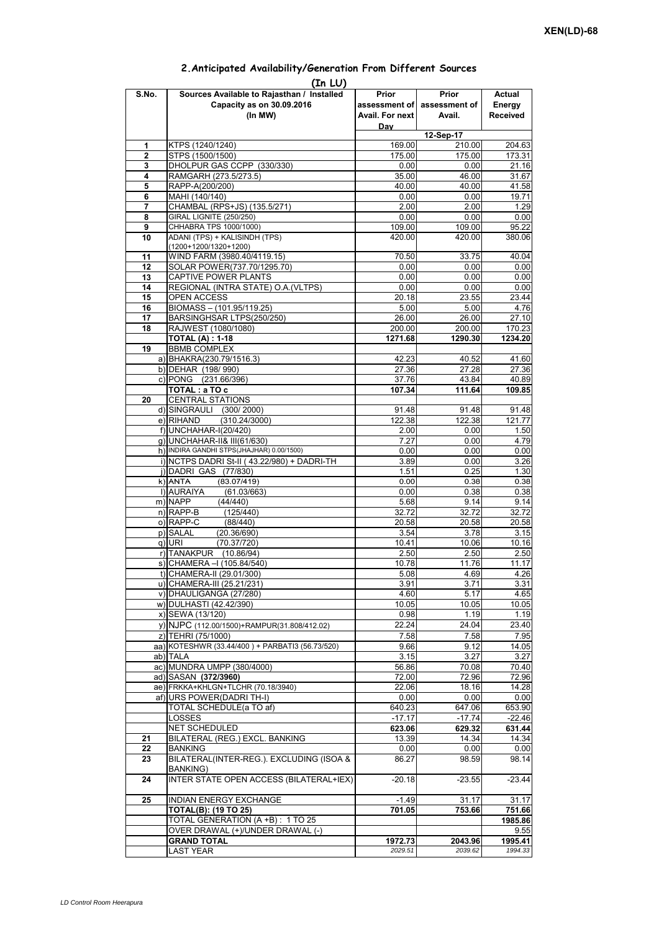| (In LU)        |                                                     |                 |                             |                 |  |  |  |  |  |
|----------------|-----------------------------------------------------|-----------------|-----------------------------|-----------------|--|--|--|--|--|
| S.No.          | Sources Available to Rajasthan / Installed          | Prior           | Prior                       | Actual          |  |  |  |  |  |
|                | Capacity as on 30.09.2016                           |                 | assessment of assessment of | Energy          |  |  |  |  |  |
|                | (In MW)                                             | Avail. For next | Avail.                      | <b>Received</b> |  |  |  |  |  |
|                |                                                     | Day             |                             |                 |  |  |  |  |  |
|                |                                                     |                 | 12-Sep-17                   |                 |  |  |  |  |  |
| 1              | KTPS (1240/1240)                                    | 169.00          | 210.00                      | 204.63          |  |  |  |  |  |
| $\overline{2}$ | STPS (1500/1500)                                    | 175.00          | 175.00                      | 173.31          |  |  |  |  |  |
| 3              | DHOLPUR GAS CCPP (330/330)                          | 0.00            | 0.00                        | 21.16           |  |  |  |  |  |
| 4              | RAMGARH (273.5/273.5)                               | 35.00           | 46.00                       | 31.67           |  |  |  |  |  |
| 5              | RAPP-A(200/200)                                     | 40.00           | 40.00                       | 41.58           |  |  |  |  |  |
| 6              | MAHI (140/140)                                      | 0.00            | 0.00                        | 19.71           |  |  |  |  |  |
| 7              | CHAMBAL (RPS+JS) (135.5/271)                        | 2.00            | 2.00                        | 1.29            |  |  |  |  |  |
| 8              | <b>GIRAL LIGNITE (250/250)</b>                      | 0.00            | 0.00                        | 0.00            |  |  |  |  |  |
| 9              | CHHABRA TPS 1000/1000)                              | 109.00          | 109.00                      | 95.22           |  |  |  |  |  |
| 10             | ADANI (TPS) + KALISINDH (TPS)                       | 420.00          | 420.00                      | 380.06          |  |  |  |  |  |
|                | (1200+1200/1320+1200)                               |                 |                             |                 |  |  |  |  |  |
| 11             | WIND FARM (3980.40/4119.15)                         | 70.50           | 33.75                       | 40.04           |  |  |  |  |  |
| 12             | SOLAR POWER(737.70/1295.70)                         | 0.00            | 0.00                        | 0.00            |  |  |  |  |  |
| 13             | CAPTIVE POWER PLANTS                                | 0.00            | 0.00                        | 0.00            |  |  |  |  |  |
| 14             | REGIONAL (INTRA STATE) O.A. (VLTPS)                 | 0.00            | 0.00                        | 0.00            |  |  |  |  |  |
| 15             | OPEN ACCESS                                         | 20.18           | 23.55                       | 23.44           |  |  |  |  |  |
| 16             | BIOMASS - (101.95/119.25)                           | 5.00            | 5.00                        | 4.76            |  |  |  |  |  |
| 17             | BARSINGHSAR LTPS(250/250)                           | 26.00           | 26.00                       | 27.10           |  |  |  |  |  |
| 18             | RAJWEST (1080/1080)                                 | 200.00          | 200.00                      | 170.23          |  |  |  |  |  |
|                | <b>TOTAL (A): 1-18</b>                              | 1271.68         | 1290.30                     | 1234.20         |  |  |  |  |  |
| 19             | <b>BBMB COMPLEX</b>                                 |                 |                             |                 |  |  |  |  |  |
|                | a) BHAKRA(230.79/1516.3)                            | 42.23           | 40.52                       | 41.60           |  |  |  |  |  |
|                | b) DEHAR (198/990)                                  |                 | 27.28                       | 27.36           |  |  |  |  |  |
|                | c) PONG (231.66/396)                                | 27.36           |                             |                 |  |  |  |  |  |
|                |                                                     | 37.76           | 43.84                       | 40.89           |  |  |  |  |  |
|                | TOTAL: a TO c                                       | 107.34          | 111.64                      | 109.85          |  |  |  |  |  |
| 20             | <b>CENTRAL STATIONS</b>                             |                 |                             |                 |  |  |  |  |  |
|                | d) SINGRAULI (300/2000)                             | 91.48           | 91.48                       | 91.48           |  |  |  |  |  |
|                | e) RIHAND<br>(310.24/3000)                          | 122.38          | 122.38                      | 121.77          |  |  |  |  |  |
|                | f) UNCHAHAR-I(20/420)                               | 2.00            | 0.00                        | 1.50            |  |  |  |  |  |
|                | g) UNCHAHAR-II& III(61/630)                         | 7.27            | 0.00                        | 4.79            |  |  |  |  |  |
|                | h) INDIRA GANDHI STPS(JHAJHAR) 0.00/1500)           | 0.00            | 0.00                        | 0.00            |  |  |  |  |  |
|                | i) NCTPS DADRI St-II (43.22/980) + DADRI-TH         | 3.89            | 0.00                        | 3.26            |  |  |  |  |  |
|                | j) DADRI GAS (77/830)                               | 1.51            | 0.25                        | 1.30            |  |  |  |  |  |
|                | $k)$ ANTA<br>(83.07/419)                            | 0.00            | 0.38                        | 0.38            |  |  |  |  |  |
|                | I) AURAIYA<br>(61.03/663)                           | 0.00            | 0.38                        | 0.38            |  |  |  |  |  |
|                | m) NAPP<br>(44/440)                                 | 5.68            | 9.14                        | 9.14            |  |  |  |  |  |
|                | $n)$ RAPP-B<br>(125/440)                            | 32.72           | 32.72                       | 32.72           |  |  |  |  |  |
|                | o) RAPP-C<br>(88/440)                               | 20.58           | 20.58                       | 20.58           |  |  |  |  |  |
|                | p) SALAL<br>(20.36/690)                             | 3.54            | 3.78                        | 3.15            |  |  |  |  |  |
|                | q) URI<br>(70.37/720)                               | 10.41           | 10.06                       | 10.16           |  |  |  |  |  |
|                | r) TANAKPUR (10.86/94)                              | 2.50            | 2.50                        | 2.50            |  |  |  |  |  |
|                | s) CHAMERA - (105.84/540)                           | 10.78           | 11.76                       | 11.17           |  |  |  |  |  |
|                | t) CHAMERA-II (29.01/300)                           | 5.08            | 4.69                        | 4.26            |  |  |  |  |  |
|                | u) CHAMERA-III (25.21/231)                          | 3.91            | 3.71                        | 3.31            |  |  |  |  |  |
|                | v) DHAULIGANGA (27/280)                             | 4.60            | 5.17                        | 4.65            |  |  |  |  |  |
|                | w) DULHASTI (42.42/390)                             | 10.05           | 10.05                       | 10.05           |  |  |  |  |  |
|                | x) SEWA (13/120)                                    | 0.98            | 1.19                        | 1.19            |  |  |  |  |  |
|                | y) NJPC (112.00/1500) + RAMPUR(31.808/412.02)       | 22.24           | 24.04                       | 23.40           |  |  |  |  |  |
|                | z) TEHRI (75/1000)                                  | 7.58            | 7.58                        | 7.95            |  |  |  |  |  |
|                | aa) KOTESHWR (33.44/400) + PARBATI3 (56.73/520)     | 9.66            | 9.12                        | 14.05           |  |  |  |  |  |
|                | ab) TALA                                            |                 | 3.27                        |                 |  |  |  |  |  |
|                | ac) MUNDRA UMPP (380/4000)                          | 3.15            |                             | 3.27<br>70.40   |  |  |  |  |  |
|                |                                                     | 56.86           | 70.08                       |                 |  |  |  |  |  |
|                | ad) SASAN (372/3960)                                | 72.00           | 72.96                       | 72.96           |  |  |  |  |  |
|                | ae) FRKKA+KHLGN+TLCHR (70.18/3940)                  | 22.06           | 18.16                       | 14.28           |  |  |  |  |  |
|                | af) URS POWER(DADRI TH-I)                           | 0.00            | 0.00                        | 0.00            |  |  |  |  |  |
|                | TOTAL SCHEDULE(a TO af)                             | 640.23          | 647.06                      | 653.90          |  |  |  |  |  |
|                | LOSSES                                              | $-17.17$        | $-17.74$                    | $-22.46$        |  |  |  |  |  |
|                | NET SCHEDULED                                       | 623.06          | 629.32                      | 631.44          |  |  |  |  |  |
| 21             | BILATERAL (REG.) EXCL. BANKING                      | 13.39           | 14.34                       | 14.34           |  |  |  |  |  |
| 22             | <b>BANKING</b>                                      | 0.00            | 0.00                        | 0.00            |  |  |  |  |  |
| 23             | BILATERAL(INTER-REG.). EXCLUDING (ISOA &            | 86.27           | 98.59                       | 98.14           |  |  |  |  |  |
|                | BANKING)<br>INTER STATE OPEN ACCESS (BILATERAL+IEX) |                 |                             | $-23.44$        |  |  |  |  |  |
| 24             |                                                     | $-20.18$        | $-23.55$                    |                 |  |  |  |  |  |
|                |                                                     |                 |                             |                 |  |  |  |  |  |
| 25             | INDIAN ENERGY EXCHANGE                              | $-1.49$         | 31.17                       | 31.17           |  |  |  |  |  |
|                | TOTAL(B): (19 TO 25)                                | 701.05          | 753.66                      | 751.66          |  |  |  |  |  |
|                | TOTAL GENERATION (A +B) : 1 TO 25                   |                 |                             | 1985.86         |  |  |  |  |  |
|                | OVER DRAWAL (+)/UNDER DRAWAL (-)                    |                 |                             | 9.55            |  |  |  |  |  |
|                | <b>GRAND TOTAL</b>                                  | 1972.73         | 2043.96                     | 1995.41         |  |  |  |  |  |
|                | <b>LAST YEAR</b>                                    | 2029.51         | 2039.62                     | 1994.33         |  |  |  |  |  |

## **2.Anticipated Availability/Generation From Different Sources**